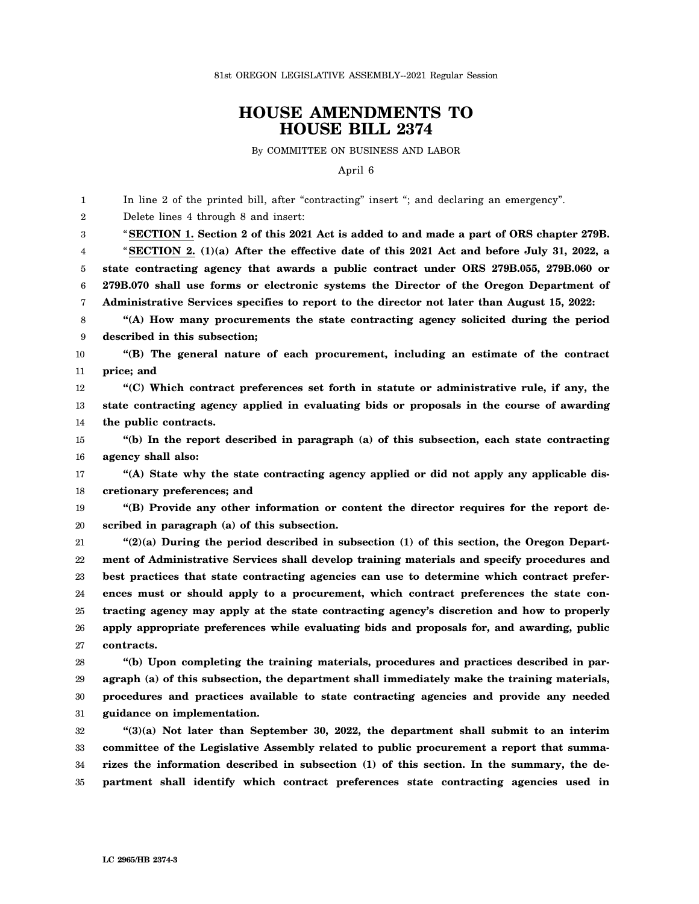81st OREGON LEGISLATIVE ASSEMBLY--2021 Regular Session

## **HOUSE AMENDMENTS TO HOUSE BILL 2374**

By COMMITTEE ON BUSINESS AND LABOR

April 6

1  $\mathfrak{D}$ 3 4 5 6 7 8 9 10 11 12 13 14 15 16 17 18 19 20 21 22 23 24 25 26 27 28 29 30 31 32 33 34 35 In line 2 of the printed bill, after "contracting" insert "; and declaring an emergency". Delete lines 4 through 8 and insert: "**SECTION 1. Section 2 of this 2021 Act is added to and made a part of ORS chapter 279B.** "**SECTION 2. (1)(a) After the effective date of this 2021 Act and before July 31, 2022, a state contracting agency that awards a public contract under ORS 279B.055, 279B.060 or 279B.070 shall use forms or electronic systems the Director of the Oregon Department of Administrative Services specifies to report to the director not later than August 15, 2022: "(A) How many procurements the state contracting agency solicited during the period described in this subsection; "(B) The general nature of each procurement, including an estimate of the contract price; and "(C) Which contract preferences set forth in statute or administrative rule, if any, the state contracting agency applied in evaluating bids or proposals in the course of awarding the public contracts. "(b) In the report described in paragraph (a) of this subsection, each state contracting agency shall also: "(A) State why the state contracting agency applied or did not apply any applicable discretionary preferences; and "(B) Provide any other information or content the director requires for the report described in paragraph (a) of this subsection. "(2)(a) During the period described in subsection (1) of this section, the Oregon Department of Administrative Services shall develop training materials and specify procedures and best practices that state contracting agencies can use to determine which contract preferences must or should apply to a procurement, which contract preferences the state contracting agency may apply at the state contracting agency's discretion and how to properly apply appropriate preferences while evaluating bids and proposals for, and awarding, public contracts. "(b) Upon completing the training materials, procedures and practices described in paragraph (a) of this subsection, the department shall immediately make the training materials, procedures and practices available to state contracting agencies and provide any needed guidance on implementation. "(3)(a) Not later than September 30, 2022, the department shall submit to an interim committee of the Legislative Assembly related to public procurement a report that summarizes the information described in subsection (1) of this section. In the summary, the department shall identify which contract preferences state contracting agencies used in**